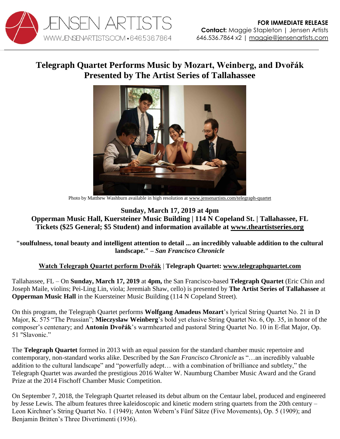

## **Telegraph Quartet Performs Music by Mozart, Weinberg, and Dvořák Presented by The Artist Series of Tallahassee**



Photo by Matthew Washburn available in high resolution a[t www.jensenartists.com/telegraph-quartet](http://www.jensenartists.com/telegraph-quartet)

## **Sunday, March 17, 2019 at 4pm Opperman Music Hall, Kuersteiner Music Building | 114 N Copeland St. | Tallahassee, FL Tickets (\$25 General; \$5 Student) and information available at [www.theartistseries.org](http://www.theartistseries.org/)**

**"soulfulness, tonal beauty and intelligent attention to detail ... an incredibly valuable addition to the cultural landscape." –** *San Francisco Chronicle*

## **[Watch Telegraph Quartet perform Dvořák](https://youtu.be/dgI4xUcPUZ8)** | **Telegraph Quartet: [www.telegraphquartet.com](http://www.telegraphquartet.com/)**

Tallahassee, FL – On **Sunday, March 17, 2019** at **4pm,** the San Francisco-based **Telegraph Quartet** (Eric Chin and Joseph Maile, violins; Pei-Ling Lin, viola; Jeremiah Shaw, cello) is presented by **The Artist Series of Tallahassee** at **Opperman Music Hall** in the Kuersteiner Music Building (114 N Copeland Street).

On this program, the Telegraph Quartet performs **Wolfgang Amadeus Mozart**'s lyrical String Quartet No. 21 in D Major, K. 575 "The Prussian"; **Mieczyslaw Weinberg**'s bold yet elusive String Quartet No. 6, Op. 35, in honor of the composer's centenary; and **Antonin Dvořák**'s warmhearted and pastoral String Quartet No. 10 in E-flat Major, Op. 51 "Slavonic."

The **Telegraph Quartet** formed in 2013 with an equal passion for the standard chamber music repertoire and contemporary, non-standard works alike. Described by the *San Francisco Chronicle* as "…an incredibly valuable addition to the cultural landscape" and "powerfully adept… with a combination of brilliance and subtlety," the Telegraph Quartet was awarded the prestigious 2016 Walter W. Naumburg Chamber Music Award and the Grand Prize at the 2014 Fischoff Chamber Music Competition.

On September 7, 2018, the Telegraph Quartet released its debut album on the Centaur label, produced and engineered by Jesse Lewis. The album features three kaleidoscopic and kinetic modern string quartets from the 20th century – Leon Kirchner's String Quartet No. 1 (1949); Anton Webern's Fünf Sätze (Five Movements), Op. 5 (1909); and Benjamin Britten's Three Divertimenti (1936).